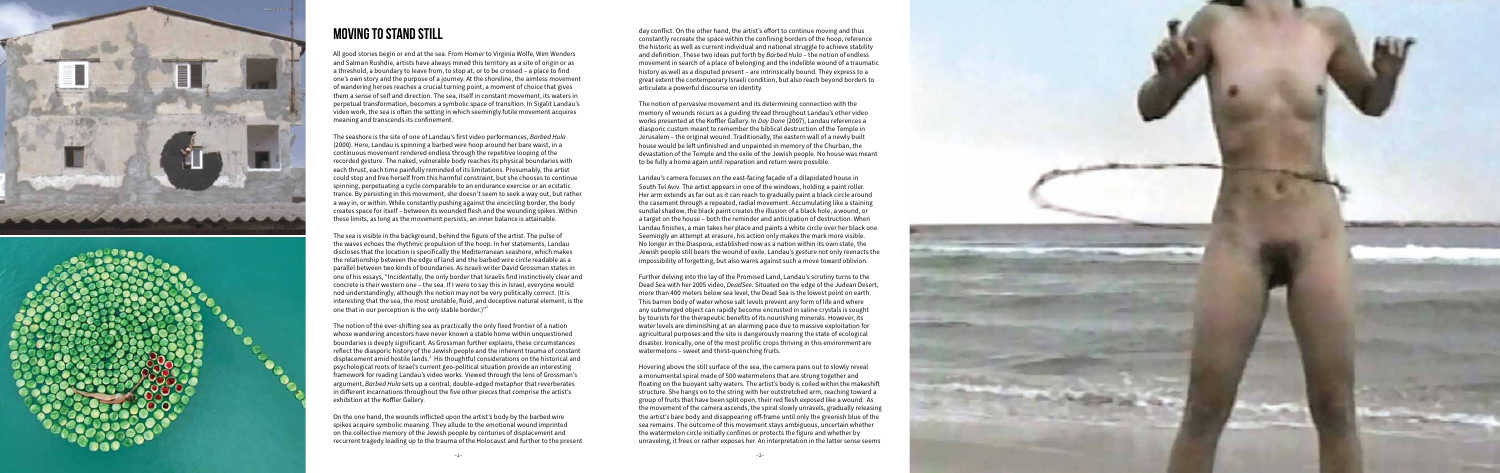



## Moving to Stand Still

All good stories begin or end at the sea. From Homer to Virginia Wolfe, Wim Wenders and Salman Rushdie, artists have always mined this territory as a site of origin or as a threshold, a boundary to leave from, to stop at, or to be crossed – a place to find one's own story and the purpose of a journey. At the shoreline, the aimless movement of wandering heroes reaches a crucial turning point, a moment of choice that gives them a sense of self and direction. The sea, itself in constant movement, its waters in perpetual transformation, becomes a symbolic space of transition. In Sigalit Landau's video work, the sea is often the setting in which seemingly futile movement acquires meaning and transcends its confinement.

The seashore is the site of one of Landau's first video performances, *Barbed Hula* (2000). Here, Landau is spinning a barbed wire hoop around her bare waist, in a continuous movement rendered endless through the repetitive looping of the recorded gesture. The naked, vulnerable body reaches its physical boundaries with each thrust, each time painfully reminded of its limitations. Presumably, the artist could stop and free herself from this harmful constraint, but she chooses to continue spinning, perpetuating a cycle comparable to an endurance exercise or an ecstatic trance. By persisting in this movement, she doesn't seem to seek a way out, but rather a way in, or within. While constantly pushing against the encircling border, the body creates space for itself – between its wounded flesh and the wounding spikes. Within these limits, as long as the movement persists, an inner balance is attainable.

The sea is visible in the background, behind the figure of the artist. The pulse of the waves echoes the rhythmic propulsion of the hoop. In her statements, Landau discloses that the location is specifically the Mediterranean seashore, which makes the relationship between the edge of land and the barbed wire circle readable as a parallel between two kinds of boundaries. As Israeli writer David Grossman states in one of his essays, "Incidentally, the only border that Israelis find instinctively clear and concrete is their western one – the sea. If I were to say this in Israel, everyone would nod understandingly, although the notion may not be very politically correct. (It is interesting that the sea, the most unstable, fluid, and deceptive natural element, is the one that in our perception is the *only* stable border.)"1

The notion of the ever-shifting sea as practically the only fixed frontier of a nation whose wandering ancestors have never known a stable home within unquestioned boundaries is deeply significant. As Grossman further explains, these circumstances reflect the diasporic history of the Jewish people and the inherent trauma of constant displacement amid hostile lands.<sup>2</sup> His thoughtful considerations on the historical and psychological roots of Israel's current geo-political situation provide an interesting framework for reading Landau's video works. Viewed through the lens of Grossman's argument, *Barbed Hula* sets up a central, double-edged metaphor that reverberates in different incarnations throughout the five other pieces that comprise the artist's exhibition at the Koffler Gallery.

On the one hand, the wounds inflicted upon the artist's body by the barbed wire spikes acquire symbolic meaning. They allude to the emotional wound imprinted on the collective memory of the Jewish people by centuries of displacement and recurrent tragedy leading up to the trauma of the Holocaust and further to the present day conflict. On the other hand, the artist's effort to continue moving and thus constantly recreate the space within the confining borders of the hoop, reference the historic as well as current individual and national struggle to achieve stability and definition. These two ideas put forth by *Barbed Hula* – the notion of endless movement in search of a place of belonging and the indelible wound of a traumatic history as well as a disputed present – are intrinsically bound. They express to a great extent the contemporary Israeli condition, but also reach beyond borders to articulate a powerful discourse on identity.

The notion of pervasive movement and its determining connection with the memory of wounds recurs as a guiding thread throughout Landau's other video works presented at the Koffler Gallery. In *Day Done* (2007), Landau references a diasporic custom meant to remember the biblical destruction of the Temple in Jerusalem – the original wound. Traditionally, the eastern wall of a newly built house would be left unfinished and unpainted in memory of the Churban, the devastation of the Temple and the exile of the Jewish people. No house was meant to be fully a home again until reparation and return were possible.

Landau's camera focuses on the east-facing façade of a dilapidated house in South Tel Aviv. The artist appears in one of the windows, holding a paint roller. Her arm extends as far out as it can reach to gradually paint a black circle around the casement through a repeated, radial movement. Accumulating like a staining sundial shadow, the black paint creates the illusion of a black hole, a wound, or a target on the house – both the reminder and anticipation of destruction. When Landau finishes, a man takes her place and paints a white circle over her black one. Seemingly an attempt at erasure, his action only makes the mark more visible. No longer in the Diaspora, established now as a nation within its own state, the Jewish people still bears the wound of exile. Landau's gesture not only reenacts the impossibility of forgetting, but also warns against such a move toward oblivion.



Further delving into the lay of the Promised Land, Landau's scrutiny turns to the Dead Sea with her 2005 video, *DeadSee*. Situated on the edge of the Judean Desert, more than 400 meters below sea level, the Dead Sea is the lowest point on earth. This barren body of water whose salt levels prevent any form of life and where any submerged object can rapidly become encrusted in saline crystals is sought by tourists for the therapeutic benefits of its nourishing minerals. However, its water levels are diminishing at an alarming pace due to massive exploitation for agricultural purposes and the site is dangerously nearing the state of ecological disaster. Ironically, one of the most prolific crops thriving in this environment are watermelons – sweet and thirst-quenching fruits.

Hovering above the still surface of the sea, the camera pans out to slowly reveal a monumental spiral made of 500 watermelons that are strung together and floating on the buoyant salty waters. The artist's body is coiled within the makeshift structure. She hangs on to the string with her outstretched arm, reaching toward a group of fruits that have been split open, their red flesh exposed like a wound. As the movement of the camera ascends, the spiral slowly unravels, gradually releasing the artist's bare body and disappearing off-frame until only the greenish blue of the sea remains. The outcome of this movement stays ambiguous, uncertain whether the watermelon circle initially confines or protects the figure and whether by unraveling, it frees or rather exposes her. An interpretation in the latter sense seems